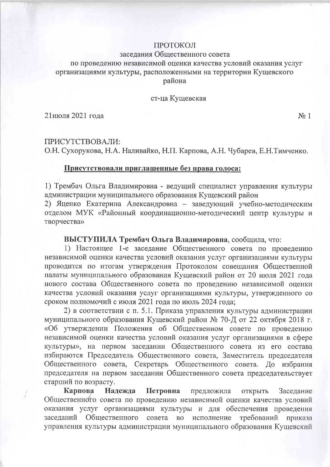#### ПРОТОКОЛ

#### заседания Общественного совета

## по проведению независимой оценки качества условий оказания услуг организациями культуры, расположенными на территории Кущевского района

#### ст-ца Кущевская

21июля 2021 года

 $N_2$  1

ПРИСУТСТВОВАЛИ: О.Н. Сухорукова, Н.А. Наливайко, Н.П. Карпова, А.Н. Чубарев, Е.Н. Тимченко.

#### Присутствовали приглашенные без права голоса:

1) Трембач Ольга Владимировна - ведущий специалист управления культуры администрации муниципального образования Кущевский район

2) Яценко Екатерина Александровна - заведующий учебно-методическим отделом МУК «Районный координационно-методический центр культуры и творчества»

### ВЫСТУПИЛА Трембач Ольга Владимировна, сообщила, что:

1) Настоящее 1-е заседание Общественного совета по проведению независимой оценки качества условий оказания услуг организациями культуры проводится по итогам утверждения Протоколом совещания Общественной палаты муниципального образования Кущевский район от 20 июля 2021 года нового состава Общественного совета по проведению независимой оценки качества условий оказания услуг организациями культуры, утвержденного со сроком полномочий с июля 2021 года по июль 2024 года;

2) в соответствии с п. 5.1. Приказа управления культуры администрации муниципального образования Кущевский район № 70-Д от 22 октября 2018 г. «Об утверждении Положения об Общественном совете по проведению независимой оценки качества условий оказания услуг организациями в сфере культуры», на первом заседании Общественного совета из его состава избираются Председатель Общественного совета, Заместитель председателя Общественного совета, Секретарь Общественного совета. До избрания председателя на первом заседании Общественного совета председательствует старший по возрасту.

Карпова Надежда Петровна предложила открыть Заседание Общественного совета по проведению независимой оценки качества условий оказания услуг организациями культуры и для обеспечения проведения заседаний Общественного совета во исполнение требований приказа управления культуры администрации муниципального образования Кущевский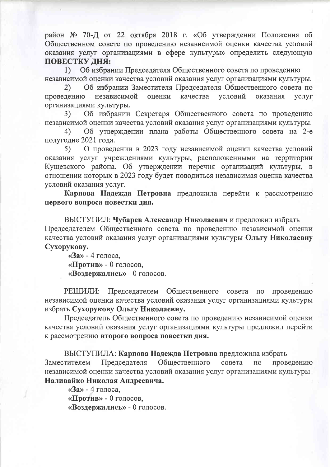район № 70-Д от 22 октября 2018 г. «Об утверждении Положения об Общественном совете по проведению независимой оценки качества условий оказания услуг организациями в сфере культуры» определить следующую ПОВЕСТКУ ЛНЯ:

Об избрании Председателя Общественного совета по проведению  $1)$ независимой оценки качества условий оказания услуг организациями культуры.

Об избрании Заместителя Председателя Общественного совета по  $(2)$ проведению независимой оценки качества условий оказания услуг организациями культуры.

Об избрании Секретаря Общественного совета по проведению 3<sup>)</sup> независимой оценки качества условий оказания услуг организациями культуры.

Об утверждении плана работы Общественного совета на 2-е  $4)$ полугодие 2021 года.

 $5)$ О проведении в 2023 году независимой оценки качества условий оказания услуг учреждениями культуры, расположенными на территории Кущевского района. Об утверждении перечня организаций культуры, в отношении которых в 2023 году будет поводиться независимая оценка качества условий оказания услуг.

Карпова Надежда Петровна предложила перейти к рассмотрению первого вопроса повестки дня.

ВЫСТУПИЛ: Чубарев Александр Николаевич и предложил избрать Председателем Общественного совета по проведению независимой оценки качества условий оказания услуг организациями культуры Ольгу Николаевну Сухорукову.

 $\langle 3a \rangle - 4$  голоса, «Против» - 0 голосов, «Воздержались» - 0 голосов.

РЕШИЛИ: Председателем Общественного совета  $\Pi{\bf O}$ проведению независимой оценки качества условий оказания услуг организациями культуры избрать Сухорукову Ольгу Николаевну.

Председатель Общественного совета по проведению независимой оценки качества условий оказания услуг организациями культуры предложил перейти к рассмотрению второго вопроса повестки дня.

ВЫСТУПИЛА: Карпова Надежда Петровна предложила избрать Заместителем Председателя Общественного совета проведению  $\overline{110}$ независимой оценки качества условий оказания услуг организациями культуры Наливайко Николая Андреевича.

«За» - 4 голоса, «Против» - 0 голосов, «Воздержались» - 0 голосов.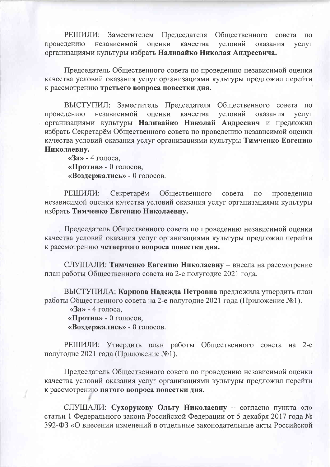РЕШИЛИ: Заместителем Председателя Обшественного совета  $\Pi$ <sup>O</sup> независимой проведению оценки качества условий оказания **VCJIVF** организациями культуры избрать Наливайко Николая Андреевича.

Председатель Общественного совета по проведению независимой оценки качества условий оказания услуг организациями культуры предложил перейти к рассмотрению третьего вопроса повестки дня.

ВЫСТУПИЛ: Заместитель Председателя Общественного совета  $\Pi$ O независимой условий проведению оценки качества оказания **VCJIVF** организациями культуры Наливайко Николай Андреевич и предложил избрать Секретарём Общественного совета по проведению независимой оценки качества условий оказания услуг организациями культуры Тимченко Евгению Николаевну.

«За» - 4 голоса, «Против» - 0 голосов, «Воздержались» - 0 голосов.

РЕШИЛИ: Секретарём Общественного совета  $\overline{10}$ проведению независимой оценки качества условий оказания услуг организациями культуры избрать Тимченко Евгению Николаевну.

Председатель Общественного совета по проведению независимой оценки качества условий оказания услуг организациями культуры предложил перейти к рассмотрению четвертого вопроса повестки дня.

СЛУШАЛИ: Тимченко Евгению Николаевну - внесла на рассмотрение план работы Общественного совета на 2-е полугодие 2021 года.

ВЫСТУПИЛА: Карпова Надежда Петровна предложила утвердить план работы Общественного совета на 2-е полугодие 2021 года (Приложение №1).

«За» - 4 голоса,

«Против» - 0 голосов,

«Воздержались» - 0 голосов.

РЕШИЛИ: Утвердить план работы Общественного совета на 2-е полугодие 2021 года (Приложение №1).

Председатель Общественного совета по проведению независимой оценки качества условий оказания услуг организациями культуры предложил перейти к рассмотрению пятого вопроса повестки дня.

СЛУШАЛИ: Сухорукову Ольгу Николаевну - согласно пункта «л» статьи 1 Федерального закона Российской Федерации от 5 декабря 2017 года № 392-ФЗ «О внесении изменений в отдельные законодательные акты Российской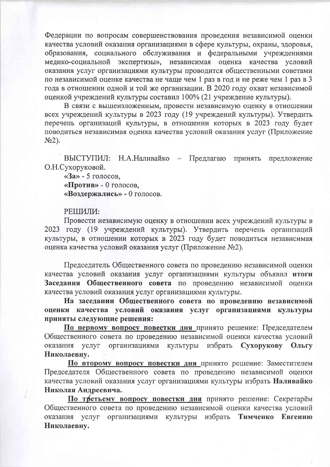Федерации по вопросам совершенствования проведения независимой оценки качества условий оказания организациями в сфере культуры, охраны, здоровья, образования, социального обслуживания и федеральными учреждениями медико-социальной экспертизы», независимая оценка качества условий оказания услуг организациями культуры проводится общественными советами по независимой оценке качества не чаще чем 1 раз в год и не реже чем 1 раз в 3 года в отношении одной и той же организации. В 2020 году охват независимой оценкой учреждений культуры составил 100% (21 учреждение культуры).

В связи с вышеизложенным, провести независимую оценку в отношении всех учреждений культуры в 2023 году (19 учреждений культуры). Утвердить перечень организаций культуры, в отношении которых в 2023 году будет поводиться независимая оценка качества условий оказания услуг (Приложение  $N<sub>2</sub>$ ).

ВЫСТУПИЛ: Н.А.Наливайко - Предлагаю принять предложение О.Н.Сухоруковой.

«За» - 5 голосов. «Против» - 0 голосов, «Воздержались» - 0 голосов.

#### РЕШИЛИ:

Провести независимую оценку в отношении всех учреждений культуры в 2023 году (19 учреждений культуры). Утвердить перечень организаций культуры, в отношении которых в 2023 году будет поводиться независимая оценка качества условий оказания услуг (Приложение №2).

Председатель Общественного совета по проведению независимой оценки качества условий оказания услуг организациями культуры объявил итоги Заседания Общественного совета по проведению независимой оценки качества условий оказания услуг организациями культуры.

На заседании Общественного совета по проведению независимой оценки качества условий оказания услуг организациями культуры приняты следующие решения:

По первому вопросу повестки дня принято решение: Председателем Общественного совета по проведению независимой оценки качества условий организациями культуры избрать Сухорукову Ольгу оказания услуг Николаевну.

По второму вопросу повестки дня принято решение: Заместителем Председателя Общественного совета по проведению независимой оценки качества условий оказания услуг организациями культуры избрать Наливайко Николая Андреевича.

По третьему вопросу повестки дня принято решение: Секретарём Общественного совета по проведению независимой оценки качества условий Тимченко Евгению оказания услуг организациями культуры избрать Николаевну.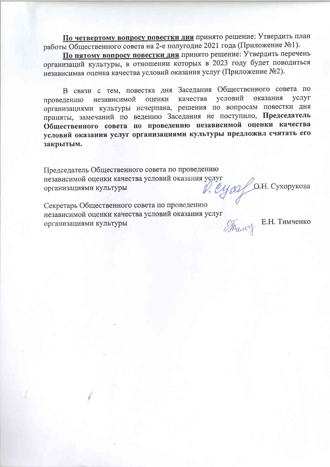По четвертому вопросу повестки дня принято решение: Утвердить план работы Общественного совета на 2-е полугодие 2021 года (Приложение №1).

По пятому вопросу повестки дня принято решение: Утвердить перечень организаций культуры, в отношении которых в 2023 году будет поводиться независимая оценка качества условий оказания услуг (Приложение №2).

В связи с тем, повестка дня Заседания Общественного совета по условий оказания **VCJIVI** независимой качества оценки проведению организациями культуры исчерпана, решения по вопросам повестки дня приняты, замечаний по ведению Заседания не поступило, Председатель Общественного совета по проведению независимой оценки качества условий оказания услуг организациями культуры предложил считать его закрытым.

Председатель Общественного совета по проведению независимой оценки качества условий оказания услуг V. Cysaf O.H. Сухорукова организациями культуры

Секретарь Общественного совета по проведению независимой оценки качества условий оказания услуг организациями культуры

 $\mathcal{F}_{\text{Hump}}$  E.H. Тимченко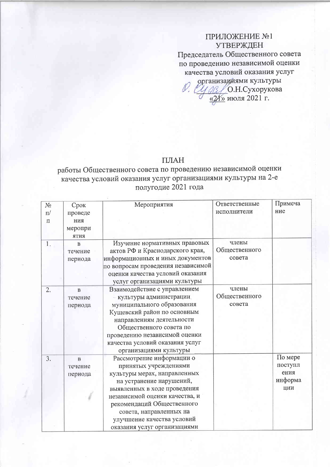## ПРИЛОЖЕНИЕ №1 **УТВЕРЖДЕН**

Председатель Общественного совета по проведению независимой оценки качества условий оказания услуг организадиями культуры

О.Н.Сухорукова  $\frac{\sqrt{24}}{2}$ июля 2021 г.

### ПЛАН

# работы Общественного совета по проведению независимой оценки качества условий оказания услуг организациями культуры на 2-е полугодие 2021 года

| $N_2$ | Срок                           | Мероприятия                                                                                                                                | Ответственные                    | Примеча |
|-------|--------------------------------|--------------------------------------------------------------------------------------------------------------------------------------------|----------------------------------|---------|
| $\Pi$ | проведе                        |                                                                                                                                            | исполнители                      | ние     |
| П     | ния                            |                                                                                                                                            |                                  |         |
|       | меропри<br><b>RNTR</b>         |                                                                                                                                            |                                  |         |
| 1.    | $\bf{B}$<br>течение<br>периода | Изучение нормативных правовых<br>актов РФ и Краснодарского края,<br>информационных и иных документов<br>по вопросам проведения независимой | члены<br>Общественного<br>совета |         |
|       |                                | оценки качества условий оказания<br>услуг организациями культуры                                                                           |                                  |         |
| 2.    | $\mathbf{B}$                   | Взаимодействие с управлением                                                                                                               | члены                            |         |
|       | течение                        | - культуры администрации.                                                                                                                  | Общественного                    |         |
|       | периода                        | муниципального образования<br>Кущевский район по основным                                                                                  | совета                           |         |
|       |                                | направлениям деятельности<br>Общественного совета по                                                                                       |                                  |         |
|       |                                | проведению независимой оценки<br>качества условий оказания услуг<br>организациями культуры                                                 |                                  |         |
|       |                                | Рассмотрение информации о                                                                                                                  |                                  | По мере |
| 3.    | $\overline{B}$<br>течение      | принятых учреждениями                                                                                                                      |                                  | поступл |
|       | периода                        | культуры мерах, направленных                                                                                                               |                                  | ения    |
|       |                                | на устранение нарушений,                                                                                                                   |                                  | информа |
|       |                                | выявленных в ходе проведения                                                                                                               |                                  | ции     |
|       |                                | независимой оценки качества, и                                                                                                             |                                  |         |
|       |                                | рекомендаций Общественного                                                                                                                 |                                  |         |
|       |                                | совета, направленных на                                                                                                                    |                                  |         |
|       |                                | улучшение качества условий                                                                                                                 |                                  |         |
|       |                                | оказания услуг организациями                                                                                                               |                                  |         |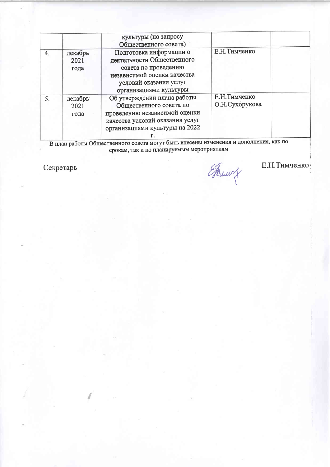|    |                         | культуры (по запросу<br>Общественного совета)                                                                                                                    |                                 |  |
|----|-------------------------|------------------------------------------------------------------------------------------------------------------------------------------------------------------|---------------------------------|--|
| 4. | декабрь<br>2021<br>года | Подготовка информации о<br>деятельности Общественного<br>совета по проведению<br>независимой оценки качества<br>условий оказания услуг<br>организациями культуры | Е.Н. Тимченко                   |  |
| 5. | декабрь<br>2021<br>года | Об утверждении плана работы<br>Общественного совета по<br>проведению независимой оценки<br>качества условий оказания услуг<br>организациями культуры на 2022     | Е.Н. Тимченко<br>О.Н.Сухорукова |  |

В план работы Общественного совета могут быть внесены изменения и дополнения, как по срокам, так и по планируемым мероприятиям

Секретарь

Francy

Е.Н. Тимченко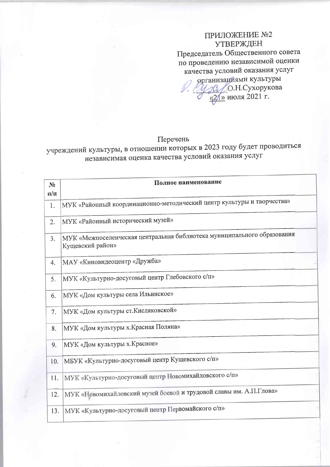## ПРИЛОЖЕНИЕ №2 **УТВЕРЖДЕН** Председатель Общественного совета по проведению независимой оценки качества условий оказания услуг организациями культуры

 $\frac{1}{\sqrt{2}}$ О.Н.Сухорукова

### Перечень

учреждений культуры, в отношении которых в 2023 году будет проводиться независимая оценка качества условий оказания услуг

| N <sub>2</sub> | Полное наименование                                                                         |
|----------------|---------------------------------------------------------------------------------------------|
| $\Pi/\Pi$      |                                                                                             |
| 1.             | МУК «Районный координационно-методический центр культуры и творчества»                      |
| 2.             | МУК «Районный исторический музей»                                                           |
| 3.             | МУК «Межпоселенческая центральная библиотека муниципального образования<br>Кущевский район» |
| 4.             | МАУ «Киновидеоцентр «Дружба»                                                                |
| 5.             | МУК «Культурно-досуговый центр Глебовского с/п»                                             |
| 6.             | МУК «Дом культуры села Ильинское»                                                           |
| 7.             | МУК «Дом культуры ст. Кисляковской»                                                         |
| 8.             | МУК «Дом культуры х. Красная Поляна»                                                        |
| 9.             | МУК «Дом культуры х. Красное»                                                               |
| 10.            | МБУК «Культурно-досуговый центр Кущевского с/п»                                             |
| 11.            | МУК «Культурно-досуговый центр Новомихайловского с/п»                                       |
| 12.            | МУК «Новомихайловский музей боевой и трудовой славы им. А.П.Глова»                          |
| 13.            | МУК «Культурно-досуговый центр Первомайского с/п»                                           |